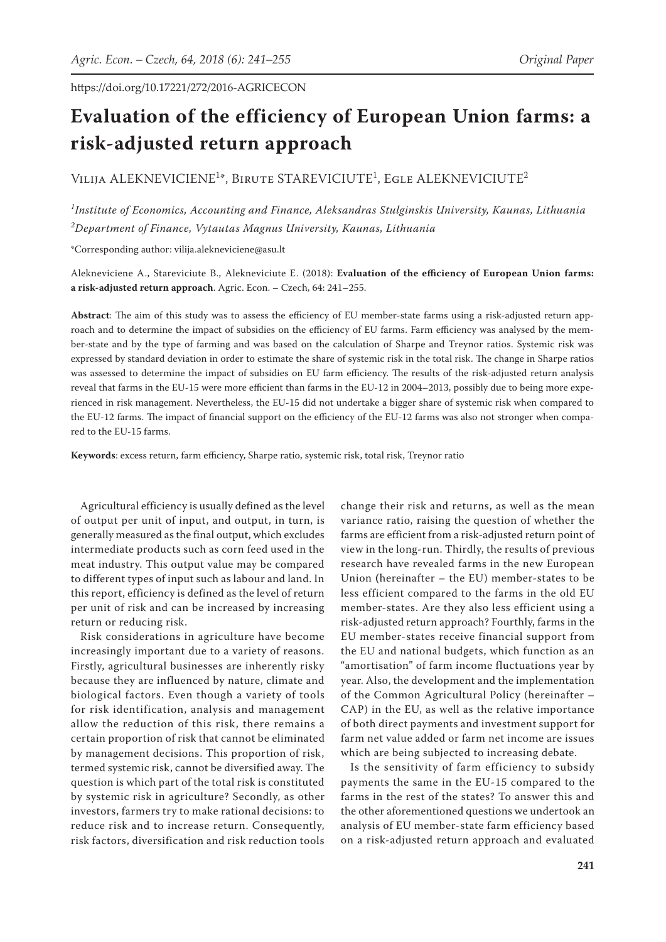# **Evaluation of the efficiency of European Union farms: a risk-adjusted return approach**

Vilija ALEKNEVICIENE<sup>1</sup>\*, Birute STAREVICIUTE<sup>1</sup>, Egle ALEKNEVICIUTE<sup>2</sup>

*1 Institute of Economics, Accounting and Finance, Aleksandras Stulginskis University, Kaunas, Lithuania 2 Department of Finance, Vytautas Magnus University, Kaunas, Lithuania*

\*Corresponding author: vilija.alekneviciene@asu.lt

Alekneviciene A., Stareviciute B., Alekneviciute E. (2018): **Evaluation of the efficiency of European Union farms: a risk-adjusted return approach**. Agric. Econ. – Czech, 64: 241–255.

**Abstract**: The aim of this study was to assess the efficiency of EU member-state farms using a risk-adjusted return approach and to determine the impact of subsidies on the efficiency of EU farms. Farm efficiency was analysed by the member-state and by the type of farming and was based on the calculation of Sharpe and Treynor ratios. Systemic risk was expressed by standard deviation in order to estimate the share of systemic risk in the total risk. The change in Sharpe ratios was assessed to determine the impact of subsidies on EU farm efficiency. The results of the risk-adjusted return analysis reveal that farms in the EU-15 were more efficient than farms in the EU-12 in 2004–2013, possibly due to being more experienced in risk management. Nevertheless, the EU-15 did not undertake a bigger share of systemic risk when compared to the EU-12 farms. The impact of financial support on the efficiency of the EU-12 farms was also not stronger when compared to the EU-15 farms.

**Keywords**: excess return, farm efficiency, Sharpe ratio, systemic risk, total risk, Treynor ratio

Agricultural efficiency is usually defined as the level of output per unit of input, and output, in turn, is generally measured as the final output, which excludes intermediate products such as corn feed used in the meat industry. This output value may be compared to different types of input such as labour and land. In this report, efficiency is defined as the level of return per unit of risk and can be increased by increasing return or reducing risk.

Risk considerations in agriculture have become increasingly important due to a variety of reasons. Firstly, agricultural businesses are inherently risky because they are influenced by nature, climate and biological factors. Even though a variety of tools for risk identification, analysis and management allow the reduction of this risk, there remains a certain proportion of risk that cannot be eliminated by management decisions. This proportion of risk, termed systemic risk, cannot be diversified away. The question is which part of the total risk is constituted by systemic risk in agriculture? Secondly, as other investors, farmers try to make rational decisions: to reduce risk and to increase return. Consequently, risk factors, diversification and risk reduction tools

change their risk and returns, as well as the mean variance ratio, raising the question of whether the farms are efficient from a risk-adjusted return point of view in the long-run. Thirdly, the results of previous research have revealed farms in the new European Union **(**hereinafter – the EU) member-states to be less efficient compared to the farms in the old EU member-states. Are they also less efficient using a risk-adjusted return approach? Fourthly, farms in the EU member-states receive financial support from the EU and national budgets, which function as an "amortisation" of farm income fluctuations year by year. Also, the development and the implementation of the Common Agricultural Policy (hereinafter – CAP) in the EU, as well as the relative importance of both direct payments and investment support for farm net value added or farm net income are issues which are being subjected to increasing debate.

Is the sensitivity of farm efficiency to subsidy payments the same in the EU-15 compared to the farms in the rest of the states? To answer this and the other aforementioned questions we undertook an analysis of EU member-state farm efficiency based on a risk-adjusted return approach and evaluated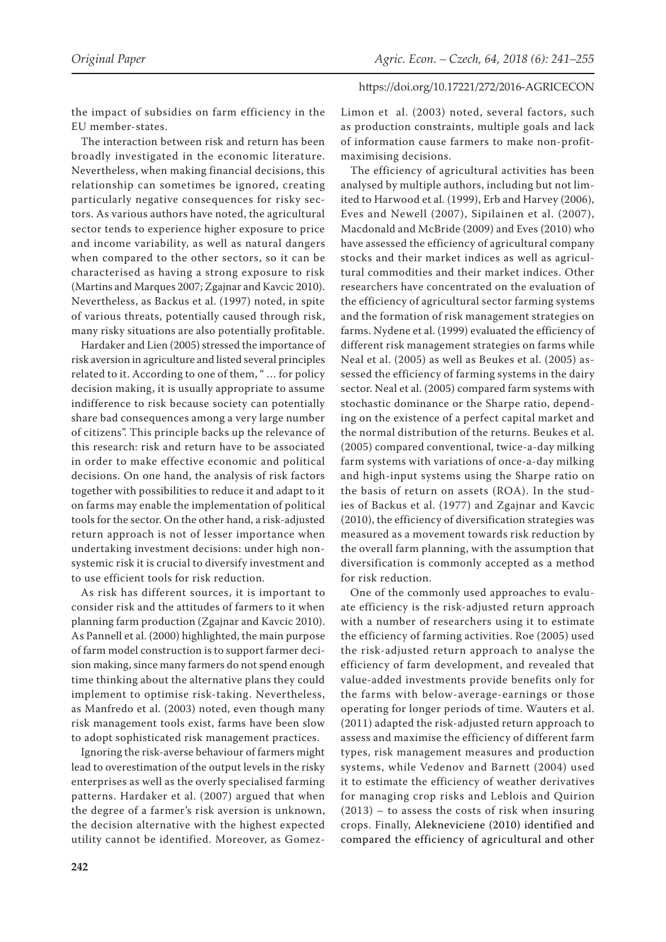the impact of subsidies on farm efficiency in the EU member-states.

The interaction between risk and return has been broadly investigated in the economic literature. Nevertheless, when making financial decisions, this relationship can sometimes be ignored, creating particularly negative consequences for risky sectors. As various authors have noted, the agricultural sector tends to experience higher exposure to price and income variability, as well as natural dangers when compared to the other sectors, so it can be characterised as having a strong exposure to risk (Martins and Marques 2007; Zgajnar and Kavcic 2010). Nevertheless, as Backus et al. (1997) noted, in spite of various threats, potentially caused through risk, many risky situations are also potentially profitable.

Hardaker and Lien (2005) stressed the importance of risk aversion in agriculture and listed several principles related to it. According to one of them, " … for policy decision making, it is usually appropriate to assume indifference to risk because society can potentially share bad consequences among a very large number of citizens". This principle backs up the relevance of this research: risk and return have to be associated in order to make effective economic and political decisions. On one hand, the analysis of risk factors together with possibilities to reduce it and adapt to it on farms may enable the implementation of political tools for the sector. On the other hand, a risk-adjusted return approach is not of lesser importance when undertaking investment decisions: under high nonsystemic risk it is crucial to diversify investment and to use efficient tools for risk reduction.

As risk has different sources, it is important to consider risk and the attitudes of farmers to it when planning farm production (Zgajnar and Kavcic 2010). As Pannell et al. (2000) highlighted, the main purpose of farm model construction is to support farmer decision making, since many farmers do not spend enough time thinking about the alternative plans they could implement to optimise risk-taking. Nevertheless, as Manfredo et al. (2003) noted, even though many risk management tools exist, farms have been slow to adopt sophisticated risk management practices.

Ignoring the risk-averse behaviour of farmers might lead to overestimation of the output levels in the risky enterprises as well as the overly specialised farming patterns. Hardaker et al. (2007) argued that when the degree of a farmer's risk aversion is unknown, the decision alternative with the highest expected utility cannot be identified. Moreover, as Gomez-

Limon et al. (2003) noted, several factors, such as production constraints, multiple goals and lack of information cause farmers to make non-profitmaximising decisions.

The efficiency of agricultural activities has been analysed by multiple authors, including but not limited to Harwood et al. (1999), Erb and Harvey (2006), Eves and Newell (2007), Sipilainen et al. (2007), Macdonald and McBride (2009) and Eves (2010) who have assessed the efficiency of agricultural company stocks and their market indices as well as agricultural commodities and their market indices. Other researchers have concentrated on the evaluation of the efficiency of agricultural sector farming systems and the formation of risk management strategies on farms. Nydene et al. (1999) evaluated the efficiency of different risk management strategies on farms while Neal et al. (2005) as well as Beukes et al. (2005) assessed the efficiency of farming systems in the dairy sector. Neal et al. (2005) compared farm systems with stochastic dominance or the Sharpe ratio, depending on the existence of a perfect capital market and the normal distribution of the returns. Beukes et al. (2005) compared conventional, twice-a-day milking farm systems with variations of once-a-day milking and high-input systems using the Sharpe ratio on the basis of return on assets (ROA). In the studies of Backus et al. (1977) and Zgajnar and Kavcic (2010), the efficiency of diversification strategies was measured as a movement towards risk reduction by the overall farm planning, with the assumption that diversification is commonly accepted as a method for risk reduction.

One of the commonly used approaches to evaluate efficiency is the risk-adjusted return approach with a number of researchers using it to estimate the efficiency of farming activities. Roe (2005) used the risk-adjusted return approach to analyse the efficiency of farm development, and revealed that value-added investments provide benefits only for the farms with below-average-earnings or those operating for longer periods of time. Wauters et al. (2011) adapted the risk-adjusted return approach to assess and maximise the efficiency of different farm types, risk management measures and production systems, while Vedenov and Barnett (2004) used it to estimate the efficiency of weather derivatives for managing crop risks and Leblois and Quirion (2013) – to assess the costs of risk when insuring crops. Finally, Alekneviciene (2010) identified and compared the efficiency of agricultural and other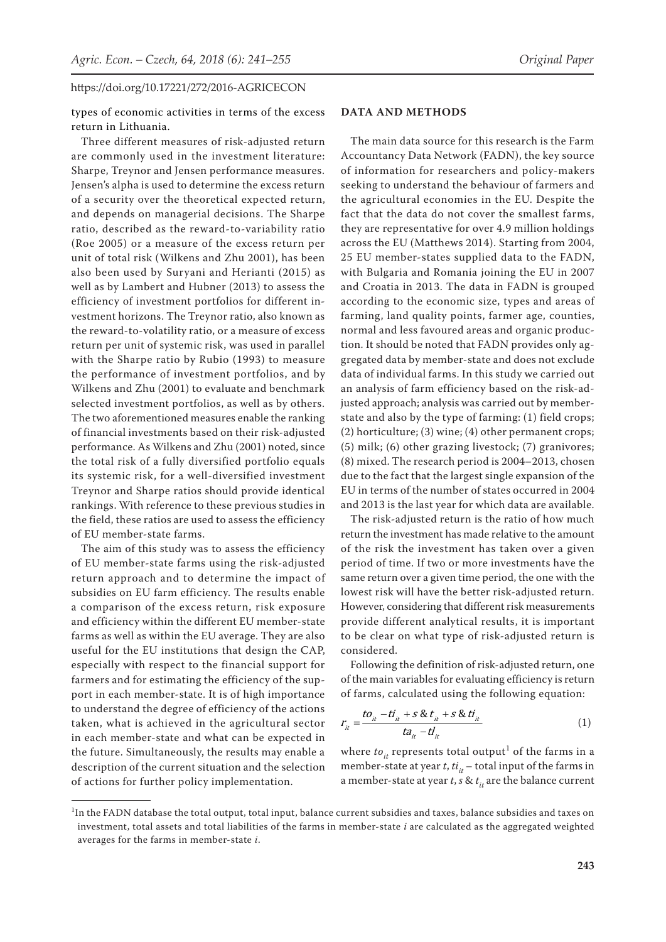types of economic activities in terms of the excess return in Lithuania.

Three different measures of risk-adjusted return are commonly used in the investment literature: Sharpe, Treynor and Jensen performance measures. Jensen's alpha is used to determine the excess return of a security over the theoretical expected return, and depends on managerial decisions. The Sharpe ratio, described as the reward-to-variability ratio (Roe 2005) or a measure of the excess return per unit of total risk (Wilkens and Zhu 2001), has been also been used by Suryani and Herianti (2015) as well as by Lambert and Hubner (2013) to assess the efficiency of investment portfolios for different investment horizons. The Treynor ratio, also known as the reward-to-volatility ratio, or a measure of excess return per unit of systemic risk, was used in parallel with the Sharpe ratio by Rubio (1993) to measure the performance of investment portfolios, and by Wilkens and Zhu (2001) to evaluate and benchmark selected investment portfolios, as well as by others. The two aforementioned measures enable the ranking of financial investments based on their risk-adjusted performance. As Wilkens and Zhu (2001) noted, since the total risk of a fully diversified portfolio equals its systemic risk, for a well-diversified investment Treynor and Sharpe ratios should provide identical rankings. With reference to these previous studies in the field, these ratios are used to assess the efficiency of EU member-state farms.

The aim of this study was to assess the efficiency of EU member-state farms using the risk-adjusted return approach and to determine the impact of subsidies on EU farm efficiency. The results enable a comparison of the excess return, risk exposure and efficiency within the different EU member-state farms as well as within the EU average. They are also useful for the EU institutions that design the CAP, especially with respect to the financial support for farmers and for estimating the efficiency of the support in each member-state. It is of high importance to understand the degree of efficiency of the actions taken, what is achieved in the agricultural sector in each member-state and what can be expected in the future. Simultaneously, the results may enable a description of the current situation and the selection of actions for further policy implementation.

#### **DATA AND METHODS**

The main data source for this research is the Farm Accountancy Data Network (FADN), the key source of information for researchers and policy-makers seeking to understand the behaviour of farmers and the agricultural economies in the EU. Despite the fact that the data do not cover the smallest farms, they are representative for over 4.9 million holdings across the EU (Matthews 2014). Starting from 2004, 25 EU member-states supplied data to the FADN, with Bulgaria and Romania joining the EU in 2007 and Croatia in 2013. The data in FADN is grouped according to the economic size, types and areas of farming, land quality points, farmer age, counties, normal and less favoured areas and organic production. It should be noted that FADN provides only aggregated data by member-state and does not exclude data of individual farms. In this study we carried out an analysis of farm efficiency based on the risk-adjusted approach; analysis was carried out by memberstate and also by the type of farming: (1) field crops; (2) horticulture; (3) wine; (4) other permanent crops; (5) milk; (6) other grazing livestock; (7) granivores; (8) mixed. The research period is 2004–2013, chosen due to the fact that the largest single expansion of the EU in terms of the number of states occurred in 2004 and 2013 is the last year for which data are available.

The risk-adjusted return is the ratio of how much return the investment has made relative to the amount of the risk the investment has taken over a given period of time. If two or more investments have the same return over a given time period, the one with the lowest risk will have the better risk-adjusted return. However, considering that different risk measurements provide different analytical results, it is important to be clear on what type of risk-adjusted return is considered.

Following the definition of risk-adjusted return, one of the main variables for evaluating efficiency is return of farms, calculated using the following equation:

$$
r_{it} = \frac{to_{it} - ti_{it} + s \& t_{it} + s \& ti_{it}}{ta_{it} - tl_{it}}
$$
(1)

where  $to_{it}$  represents total output<sup>1</sup> of the farms in a member-state at year  $t$ ,  $ti<sub>it</sub>$  – total input of the farms in a member-state at year  $t$ ,  $s \& t_{it}$  are the balance current

 $^{\rm 1}$ In the FADN database the total output, total input, balance current subsidies and taxes, balance subsidies and taxes on investment, total assets and total liabilities of the farms in member-state *i* are calculated as the aggregated weighted averages for the farms in member-state *i*.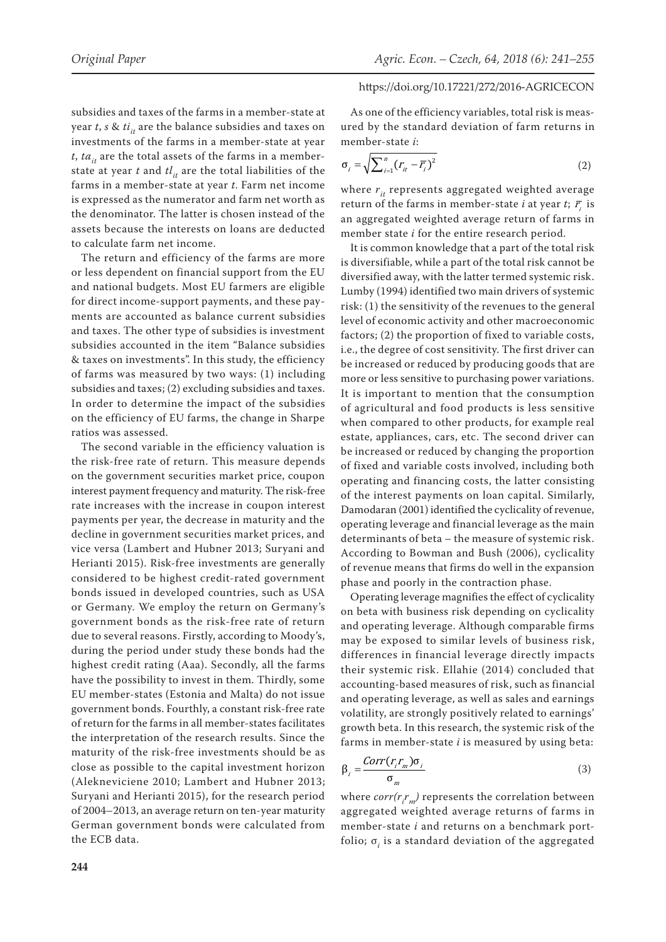subsidies and taxes of the farms in a member-state at year  $t$ ,  $s \& t_i$  are the balance subsidies and taxes on investments of the farms in a member-state at year  $t$ ,  $ta_{it}$  are the total assets of the farms in a memberstate at year  $t$  and  $tl_{it}$  are the total liabilities of the farms in a member-state at year *t*. Farm net income is expressed as the numerator and farm net worth as the denominator. The latter is chosen instead of the assets because the interests on loans are deducted to calculate farm net income.

The return and efficiency of the farms are more or less dependent on financial support from the EU and national budgets. Most EU farmers are eligible for direct income-support payments, and these payments are accounted as balance current subsidies and taxes. The other type of subsidies is investment subsidies accounted in the item "Balance subsidies & taxes on investments". In this study, the efficiency of farms was measured by two ways: (1) including subsidies and taxes; (2) excluding subsidies and taxes. In order to determine the impact of the subsidies on the efficiency of EU farms, the change in Sharpe ratios was assessed.

The second variable in the efficiency valuation is the risk-free rate of return. This measure depends on the government securities market price, coupon interest payment frequency and maturity. The risk-free rate increases with the increase in coupon interest payments per year, the decrease in maturity and the decline in government securities market prices, and vice versa (Lambert and Hubner 2013; Suryani and Herianti 2015). Risk-free investments are generally considered to be highest credit-rated government bonds issued in developed countries, such as USA or Germany. We employ the return on Germany's government bonds as the risk-free rate of return due to several reasons. Firstly, according to Moody's, during the period under study these bonds had the highest credit rating (Aaa). Secondly, all the farms have the possibility to invest in them. Thirdly, some EU member-states (Estonia and Malta) do not issue government bonds. Fourthly, a constant risk-free rate of return for the farms in all member-states facilitates the interpretation of the research results. Since the maturity of the risk-free investments should be as close as possible to the capital investment horizon (Alekneviciene 2010; Lambert and Hubner 2013; Suryani and Herianti 2015), for the research period of 2004–2013, an average return on ten-year maturity German government bonds were calculated from the ECB data.

# https://doi.org/10.17221/272/2016-AGRICECON

As one of the efficiency variables, total risk is measured by the standard deviation of farm returns in member-state *i*:

$$
\sigma_i = \sqrt{\sum_{i=1}^n (r_{it} - \overline{r}_i)^2}
$$
 (2)

where  $r_{i}$  represents aggregated weighted average return of the farms in member-state *i* at year *t*;  $\overline{r}$ , is an aggregated weighted average return of farms in member state *i* for the entire research period.

It is common knowledge that a part of the total risk is diversifiable, while a part of the total risk cannot be diversified away, with the latter termed systemic risk. Lumby (1994) identified two main drivers of systemic risk: (1) the sensitivity of the revenues to the general level of economic activity and other macroeconomic factors; (2) the proportion of fixed to variable costs, i.e., the degree of cost sensitivity. The first driver can be increased or reduced by producing goods that are more or less sensitive to purchasing power variations. It is important to mention that the consumption of agricultural and food products is less sensitive when compared to other products, for example real estate, appliances, cars, etc. The second driver can be increased or reduced by changing the proportion of fixed and variable costs involved, including both operating and financing costs, the latter consisting of the interest payments on loan capital. Similarly, Damodaran (2001) identified the cyclicality of revenue, operating leverage and financial leverage as the main determinants of beta – the measure of systemic risk. According to Bowman and Bush (2006), cyclicality of revenue means that firms do well in the expansion phase and poorly in the contraction phase.

Operating leverage magnifies the effect of cyclicality on beta with business risk depending on cyclicality and operating leverage. Although comparable firms may be exposed to similar levels of business risk, differences in financial leverage directly impacts their systemic risk. Ellahie (2014) concluded that accounting-based measures of risk, such as financial and operating leverage, as well as sales and earnings volatility, are strongly positively related to earnings' growth beta. In this research, the systemic risk of the farms in member-state *i* is measured by using beta:

$$
\beta_i = \frac{Corr(r_i r_m) \sigma_i}{\sigma_m} \tag{3}
$$

where  $corr(r_i r_m)$  represents the correlation between aggregated weighted average returns of farms in member-state *i* and returns on a benchmark portfolio;  $\sigma_i$  is a standard deviation of the aggregated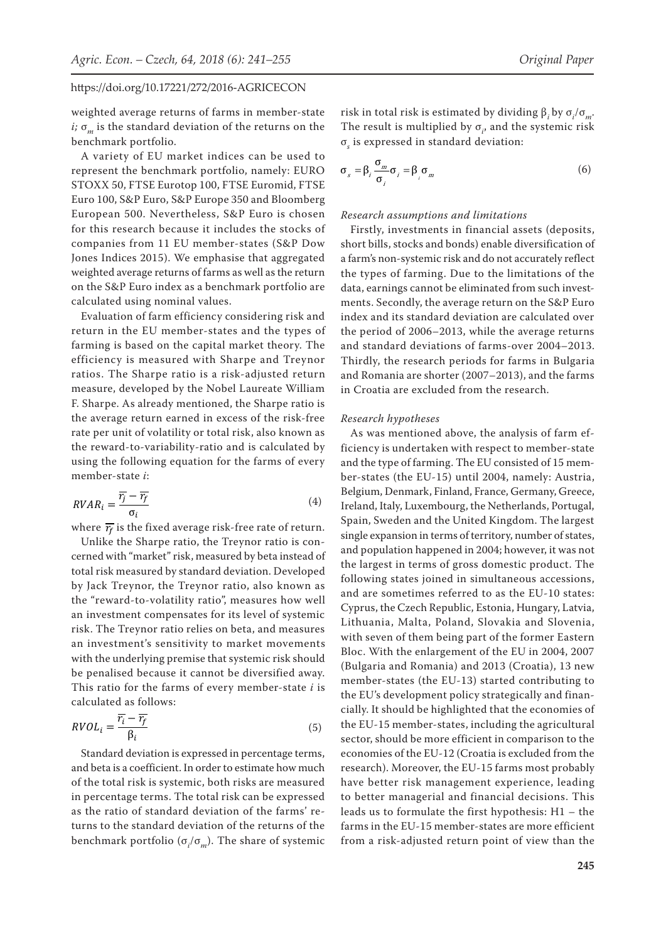weighted average returns of farms in member-state  $i$ ;  $\sigma_m$  is the standard deviation of the returns on the benchmark portfolio.

A variety of EU market indices can be used to represent the benchmark portfolio, namely: EURO STOXX 50, FTSE Eurotop 100, FTSE Euromid, FTSE Euro 100, S&P Euro, S&P Europe 350 and Bloomberg European 500. Nevertheless, S&P Euro is chosen for this research because it includes the stocks of companies from 11 EU member-states (S&P Dow Jones Indices 2015). We emphasise that aggregated weighted average returns of farms as well as the return on the S&P Euro index as a benchmark portfolio are calculated using nominal values.

Evaluation of farm efficiency considering risk and return in the EU member-states and the types of farming is based on the capital market theory. The efficiency is measured with Sharpe and Treynor ratios. The Sharpe ratio is a risk-adjusted return measure, developed by the Nobel Laureate William F. Sharpe. As already mentioned, the Sharpe ratio is the average return earned in excess of the risk-free rate per unit of volatility or total risk, also known as the reward-to-variability-ratio and is calculated by using the following equation for the farms of every member-state *i*:

$$
RVAR_i = \frac{\overline{r_j} - \overline{r_f}}{\sigma_i} \tag{4}
$$

where  $\overline{r_f}$  is the fixed average risk-free rate of return.

Unlike the Sharpe ratio, the Treynor ratio is concerned with "market" risk, measured by beta instead of total risk measured by standard deviation. Developed by Jack Treynor, the Treynor ratio, also known as the "reward-to-volatility ratio", measures how well an investment compensates for its level of systemic risk. The Treynor ratio relies on beta, and measures an investment's sensitivity to market movements with the underlying premise that systemic risk should be penalised because it cannot be diversified away. This ratio for the farms of every member-state *i* is calculated as follows:

$$
RVOL_i = \frac{\overline{r_i} - \overline{r_f}}{\beta_i} \tag{5}
$$

Standard deviation is expressed in percentage terms, and beta is a coefficient. In order to estimate how much of the total risk is systemic, both risks are measured in percentage terms. The total risk can be expressed as the ratio of standard deviation of the farms' returns to the standard deviation of the returns of the benchmark portfolio (σ*<sup>i</sup>* /σ*m*). The share of systemic risk in total risk is estimated by dividing β*<sup>i</sup>* by σ*<sup>i</sup>* /σ*m*. The result is multiplied by  $\sigma_{i'}$  and the systemic risk σ*s* is expressed in standard deviation:

$$
\sigma_s = \beta_i \frac{\sigma_m}{\sigma_i} \sigma_i = \beta_i \sigma_m \tag{6}
$$

#### *Research assumptions and limitations*

Firstly, investments in financial assets (deposits, short bills, stocks and bonds) enable diversification of a farm's non-systemic risk and do not accurately reflect the types of farming. Due to the limitations of the data, earnings cannot be eliminated from such investments. Secondly, the average return on the S&P Euro index and its standard deviation are calculated over the period of 2006–2013, while the average returns and standard deviations of farms-over 2004–2013. Thirdly, the research periods for farms in Bulgaria and Romania are shorter (2007–2013), and the farms in Croatia are excluded from the research.

#### *Research hypotheses*

As was mentioned above, the analysis of farm efficiency is undertaken with respect to member-state and the type of farming. The EU consisted of 15 member-states (the EU-15) until 2004, namely: Austria, Belgium, Denmark, Finland, France, Germany, Greece, Ireland, Italy, Luxembourg, the Netherlands, Portugal, Spain, Sweden and the United Kingdom. The largest single expansion in terms of territory, number of states, and population happened in 2004; however, it was not the largest in terms of gross domestic product. The following states joined in simultaneous accessions, and are sometimes referred to as the EU-10 states: Cyprus, the Czech Republic, Estonia, Hungary, Latvia, Lithuania, Malta, Poland, Slovakia and Slovenia, with seven of them being part of the former Eastern Bloc. With the enlargement of the EU in 2004, 2007 (Bulgaria and Romania) and 2013 (Croatia), 13 new member-states (the EU-13) started contributing to the EU's development policy strategically and financially. It should be highlighted that the economies of the EU-15 member-states, including the agricultural sector, should be more efficient in comparison to the economies of the EU-12 (Croatia is excluded from the research). Moreover, the EU-15 farms most probably have better risk management experience, leading to better managerial and financial decisions. This leads us to formulate the first hypothesis: H1 – the farms in the EU-15 member-states are more efficient from a risk-adjusted return point of view than the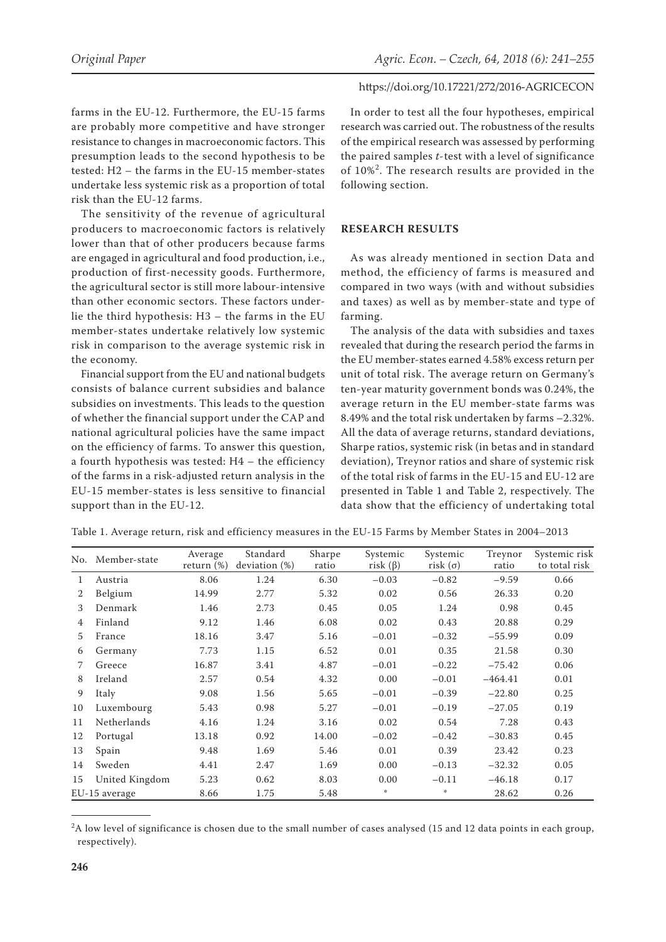farms in the EU-12. Furthermore, the EU-15 farms are probably more competitive and have stronger resistance to changes in macroeconomic factors. This presumption leads to the second hypothesis to be tested: H2 – the farms in the EU-15 member-states undertake less systemic risk as a proportion of total risk than the EU-12 farms.

The sensitivity of the revenue of agricultural producers to macroeconomic factors is relatively lower than that of other producers because farms are engaged in agricultural and food production, i.e., production of first-necessity goods. Furthermore, the agricultural sector is still more labour-intensive than other economic sectors. These factors underlie the third hypothesis: H3 – the farms in the EU member-states undertake relatively low systemic risk in comparison to the average systemic risk in the economy.

Financial support from the EU and national budgets consists of balance current subsidies and balance subsidies on investments. This leads to the question of whether the financial support under the CAP and national agricultural policies have the same impact on the efficiency of farms. To answer this question, a fourth hypothesis was tested: H4 – the efficiency of the farms in a risk-adjusted return analysis in the EU-15 member-states is less sensitive to financial support than in the EU-12.

In order to test all the four hypotheses, empirical research was carried out. The robustness of the results of the empirical research was assessed by performing the paired samples *t*-test with a level of significance of 10%<sup>2</sup> . The research results are provided in the following section.

# **RESEARCH RESULTS**

As was already mentioned in section Data and method, the efficiency of farms is measured and compared in two ways (with and without subsidies and taxes) as well as by member-state and type of farming.

The analysis of the data with subsidies and taxes revealed that during the research period the farms in the EU member-states earned 4.58% excess return per unit of total risk. The average return on Germany's ten-year maturity government bonds was 0.24%, the average return in the EU member-state farms was 8.49% and the total risk undertaken by farms –2.32%. All the data of average returns, standard deviations, Sharpe ratios, systemic risk (in betas and in standard deviation), Treynor ratios and share of systemic risk of the total risk of farms in the EU-15 and EU-12 are presented in Table 1 and Table 2, respectively. The data show that the efficiency of undertaking total

| No. | Member-state   | Average<br>return $(\%)$ | Standard<br>deviation (%) | Sharpe<br>ratio | Systemic<br>risk $(\beta)$ | Systemic<br>risk $(\sigma)$ | Treynor<br>ratio | Systemic risk<br>to total risk |
|-----|----------------|--------------------------|---------------------------|-----------------|----------------------------|-----------------------------|------------------|--------------------------------|
| 1   | Austria        | 8.06                     | 1.24                      | 6.30            | $-0.03$                    | $-0.82$                     | $-9.59$          | 0.66                           |
| 2   | Belgium        | 14.99                    | 2.77                      | 5.32            | 0.02                       | 0.56                        | 26.33            | 0.20                           |
| 3   | Denmark        | 1.46                     | 2.73                      | 0.45            | 0.05                       | 1.24                        | 0.98             | 0.45                           |
| 4   | Finland        | 9.12                     | 1.46                      | 6.08            | 0.02                       | 0.43                        | 20.88            | 0.29                           |
| 5   | France         | 18.16                    | 3.47                      | 5.16            | $-0.01$                    | $-0.32$                     | $-55.99$         | 0.09                           |
| 6   | Germany        | 7.73                     | 1.15                      | 6.52            | 0.01                       | 0.35                        | 21.58            | 0.30                           |
| 7   | Greece         | 16.87                    | 3.41                      | 4.87            | $-0.01$                    | $-0.22$                     | $-75.42$         | 0.06                           |
| 8   | Ireland        | 2.57                     | 0.54                      | 4.32            | 0.00                       | $-0.01$                     | $-464.41$        | 0.01                           |
| 9   | Italy          | 9.08                     | 1.56                      | 5.65            | $-0.01$                    | $-0.39$                     | $-22.80$         | 0.25                           |
| 10  | Luxembourg     | 5.43                     | 0.98                      | 5.27            | $-0.01$                    | $-0.19$                     | $-27.05$         | 0.19                           |
| 11  | Netherlands    | 4.16                     | 1.24                      | 3.16            | 0.02                       | 0.54                        | 7.28             | 0.43                           |
| 12  | Portugal       | 13.18                    | 0.92                      | 14.00           | $-0.02$                    | $-0.42$                     | $-30.83$         | 0.45                           |
| 13  | Spain          | 9.48                     | 1.69                      | 5.46            | 0.01                       | 0.39                        | 23.42            | 0.23                           |
| 14  | Sweden         | 4.41                     | 2.47                      | 1.69            | 0.00                       | $-0.13$                     | $-32.32$         | 0.05                           |
| 15  | United Kingdom | 5.23                     | 0.62                      | 8.03            | 0.00                       | $-0.11$                     | $-46.18$         | 0.17                           |
|     | EU-15 average  | 8.66                     | 1.75                      | 5.48            | 楽                          | 永                           | 28.62            | 0.26                           |

Table 1. Average return, risk and efficiency measures in the EU-15 Farms by Member States in 2004–2013

2 A low level of significance is chosen due to the small number of cases analysed (15 and 12 data points in each group, respectively).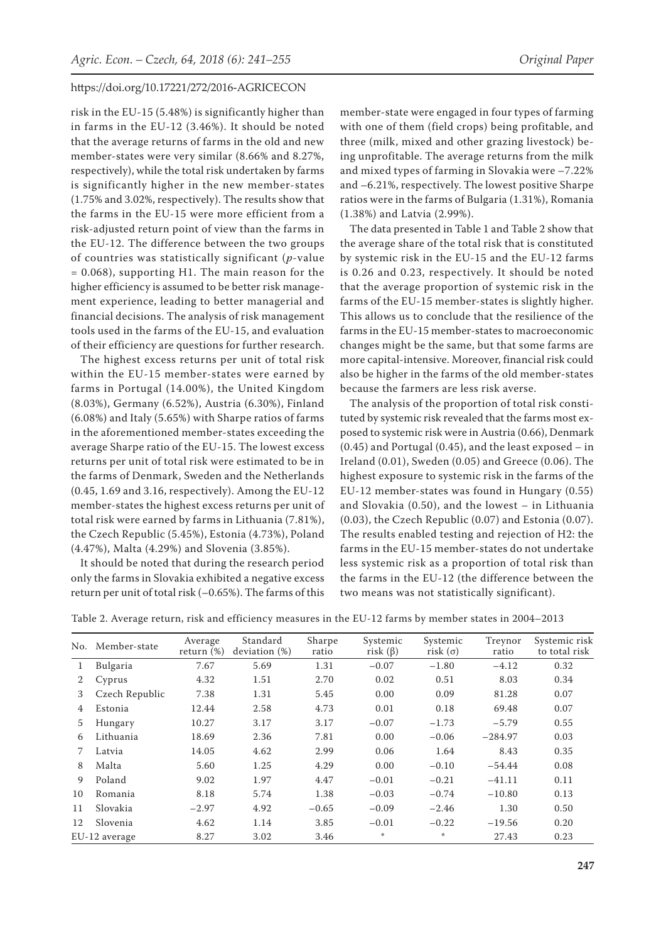risk in the EU-15 (5.48%) is significantly higher than in farms in the EU-12 (3.46%). It should be noted that the average returns of farms in the old and new member-states were very similar (8.66% and 8.27%, respectively), while the total risk undertaken by farms is significantly higher in the new member-states (1.75% and 3.02%, respectively). The results show that the farms in the EU-15 were more efficient from a risk-adjusted return point of view than the farms in the EU-12. The difference between the two groups of countries was statistically significant (*p-*value = 0.068), supporting H1. The main reason for the higher efficiency is assumed to be better risk management experience, leading to better managerial and financial decisions. The analysis of risk management tools used in the farms of the EU-15, and evaluation of their efficiency are questions for further research.

The highest excess returns per unit of total risk within the EU-15 member-states were earned by farms in Portugal (14.00%), the United Kingdom (8.03%), Germany (6.52%), Austria (6.30%), Finland (6.08%) and Italy (5.65%) with Sharpe ratios of farms in the aforementioned member-states exceeding the average Sharpe ratio of the EU-15. The lowest excess returns per unit of total risk were estimated to be in the farms of Denmark, Sweden and the Netherlands (0.45, 1.69 and 3.16, respectively). Among the EU-12 member-states the highest excess returns per unit of total risk were earned by farms in Lithuania (7.81%), the Czech Republic (5.45%), Estonia (4.73%), Poland (4.47%), Malta (4.29%) and Slovenia (3.85%).

It should be noted that during the research period only the farms in Slovakia exhibited a negative excess return per unit of total risk (–0.65%). The farms of this member-state were engaged in four types of farming with one of them (field crops) being profitable, and three (milk, mixed and other grazing livestock) being unprofitable. The average returns from the milk and mixed types of farming in Slovakia were –7.22% and –6.21%, respectively. The lowest positive Sharpe ratios were in the farms of Bulgaria (1.31%), Romania (1.38%) and Latvia (2.99%).

The data presented in Table 1 and Table 2 show that the average share of the total risk that is constituted by systemic risk in the EU-15 and the EU-12 farms is 0.26 and 0.23, respectively. It should be noted that the average proportion of systemic risk in the farms of the EU-15 member-states is slightly higher. This allows us to conclude that the resilience of the farms in the EU-15 member-states to macroeconomic changes might be the same, but that some farms are more capital-intensive. Moreover, financial risk could also be higher in the farms of the old member-states because the farmers are less risk averse.

The analysis of the proportion of total risk constituted by systemic risk revealed that the farms most exposed to systemic risk were in Austria (0.66), Denmark (0.45) and Portugal (0.45), and the least exposed – in Ireland (0.01), Sweden (0.05) and Greece (0.06). The highest exposure to systemic risk in the farms of the EU-12 member-states was found in Hungary (0.55) and Slovakia (0.50), and the lowest – in Lithuania (0.03), the Czech Republic (0.07) and Estonia (0.07). The results enabled testing and rejection of H2: the farms in the EU-15 member-states do not undertake less systemic risk as a proportion of total risk than the farms in the EU-12 (the difference between the two means was not statistically significant).

| Table 2. Average return, risk and efficiency measures in the EU-12 farms by member states in 2004–2013 |  |  |
|--------------------------------------------------------------------------------------------------------|--|--|
|--------------------------------------------------------------------------------------------------------|--|--|

| No. | Member-state   | Average<br>return $(\%)$ | Standard<br>deviation $(\%)$ | Sharpe<br>ratio | Systemic<br>risk $(\beta)$ | Systemic<br>risk $(\sigma)$ | Treynor<br>ratio | Systemic risk<br>to total risk |
|-----|----------------|--------------------------|------------------------------|-----------------|----------------------------|-----------------------------|------------------|--------------------------------|
| 1   | Bulgaria       | 7.67                     | 5.69                         | 1.31            | $-0.07$                    | $-1.80$                     | $-4.12$          | 0.32                           |
| 2   | Cyprus         | 4.32                     | 1.51                         | 2.70            | 0.02                       | 0.51                        | 8.03             | 0.34                           |
| 3   | Czech Republic | 7.38                     | 1.31                         | 5.45            | 0.00                       | 0.09                        | 81.28            | 0.07                           |
| 4   | Estonia        | 12.44                    | 2.58                         | 4.73            | 0.01                       | 0.18                        | 69.48            | 0.07                           |
| 5   | Hungary        | 10.27                    | 3.17                         | 3.17            | $-0.07$                    | $-1.73$                     | $-5.79$          | 0.55                           |
| 6   | Lithuania      | 18.69                    | 2.36                         | 7.81            | 0.00                       | $-0.06$                     | $-284.97$        | 0.03                           |
| 7   | Latvia         | 14.05                    | 4.62                         | 2.99            | 0.06                       | 1.64                        | 8.43             | 0.35                           |
| 8   | Malta          | 5.60                     | 1.25                         | 4.29            | 0.00                       | $-0.10$                     | $-54.44$         | 0.08                           |
| 9   | Poland         | 9.02                     | 1.97                         | 4.47            | $-0.01$                    | $-0.21$                     | $-41.11$         | 0.11                           |
| 10  | Romania        | 8.18                     | 5.74                         | 1.38            | $-0.03$                    | $-0.74$                     | $-10.80$         | 0.13                           |
| 11  | Slovakia       | $-2.97$                  | 4.92                         | $-0.65$         | $-0.09$                    | $-2.46$                     | 1.30             | 0.50                           |
| 12  | Slovenia       | 4.62                     | 1.14                         | 3.85            | $-0.01$                    | $-0.22$                     | $-19.56$         | 0.20                           |
|     | EU-12 average  | 8.27                     | 3.02                         | 3.46            | *                          | 楽                           | 27.43            | 0.23                           |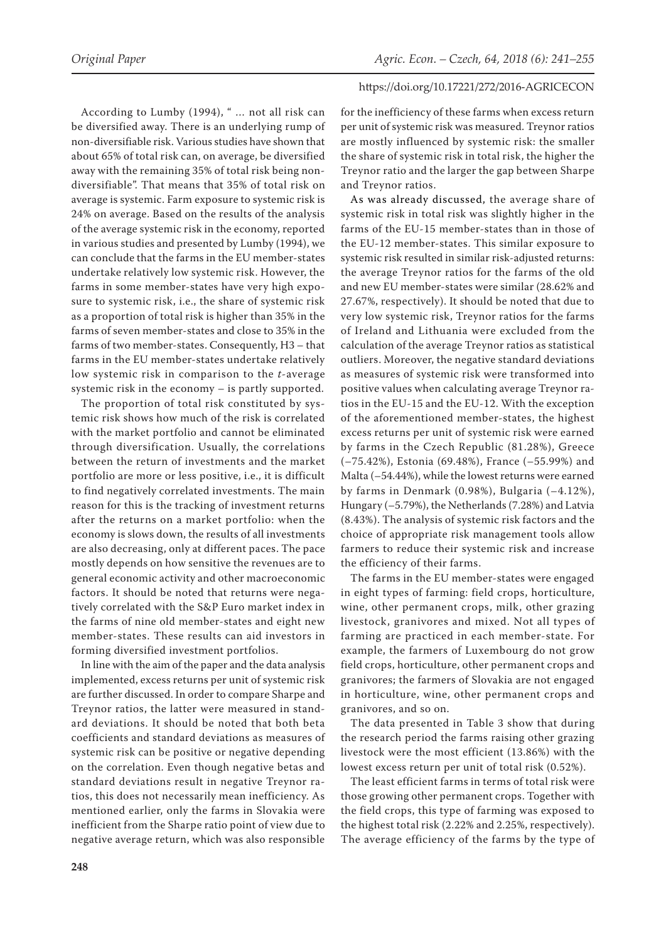According to Lumby (1994), " … not all risk can be diversified away. There is an underlying rump of non-diversifiable risk. Various studies have shown that about 65% of total risk can, on average, be diversified away with the remaining 35% of total risk being nondiversifiable". That means that 35% of total risk on average is systemic. Farm exposure to systemic risk is 24% on average. Based on the results of the analysis of the average systemic risk in the economy, reported in various studies and presented by Lumby (1994), we can conclude that the farms in the EU member-states undertake relatively low systemic risk. However, the farms in some member-states have very high exposure to systemic risk, i.e., the share of systemic risk as a proportion of total risk is higher than 35% in the farms of seven member-states and close to 35% in the farms of two member-states. Consequently, H3 – that farms in the EU member-states undertake relatively low systemic risk in comparison to the *t*-average systemic risk in the economy – is partly supported.

The proportion of total risk constituted by systemic risk shows how much of the risk is correlated with the market portfolio and cannot be eliminated through diversification. Usually, the correlations between the return of investments and the market portfolio are more or less positive, i.e., it is difficult to find negatively correlated investments. The main reason for this is the tracking of investment returns after the returns on a market portfolio: when the economy is slows down, the results of all investments are also decreasing, only at different paces. The pace mostly depends on how sensitive the revenues are to general economic activity and other macroeconomic factors. It should be noted that returns were negatively correlated with the S&P Euro market index in the farms of nine old member-states and eight new member-states. These results can aid investors in forming diversified investment portfolios.

In line with the aim of the paper and the data analysis implemented, excess returns per unit of systemic risk are further discussed. In order to compare Sharpe and Treynor ratios, the latter were measured in standard deviations. It should be noted that both beta coefficients and standard deviations as measures of systemic risk can be positive or negative depending on the correlation. Even though negative betas and standard deviations result in negative Treynor ratios, this does not necessarily mean inefficiency. As mentioned earlier, only the farms in Slovakia were inefficient from the Sharpe ratio point of view due to negative average return, which was also responsible

for the inefficiency of these farms when excess return per unit of systemic risk was measured. Treynor ratios are mostly influenced by systemic risk: the smaller the share of systemic risk in total risk, the higher the Treynor ratio and the larger the gap between Sharpe and Treynor ratios.

As was already discussed, the average share of systemic risk in total risk was slightly higher in the farms of the EU-15 member-states than in those of the EU-12 member-states. This similar exposure to systemic risk resulted in similar risk-adjusted returns: the average Treynor ratios for the farms of the old and new EU member-states were similar (28.62% and 27.67%, respectively). It should be noted that due to very low systemic risk, Treynor ratios for the farms of Ireland and Lithuania were excluded from the calculation of the average Treynor ratios as statistical outliers. Moreover, the negative standard deviations as measures of systemic risk were transformed into positive values when calculating average Treynor ratios in the EU-15 and the EU-12. With the exception of the aforementioned member-states, the highest excess returns per unit of systemic risk were earned by farms in the Czech Republic (81.28%), Greece (–75.42%), Estonia (69.48%), France (–55.99%) and Malta (–54.44%), while the lowest returns were earned by farms in Denmark (0.98%), Bulgaria (–4.12%), Hungary (–5.79%), the Netherlands (7.28%) and Latvia (8.43%). The analysis of systemic risk factors and the choice of appropriate risk management tools allow farmers to reduce their systemic risk and increase the efficiency of their farms.

The farms in the EU member-states were engaged in eight types of farming: field crops, horticulture, wine, other permanent crops, milk, other grazing livestock, granivores and mixed. Not all types of farming are practiced in each member-state. For example, the farmers of Luxembourg do not grow field crops, horticulture, other permanent crops and granivores; the farmers of Slovakia are not engaged in horticulture, wine, other permanent crops and granivores, and so on.

The data presented in Table 3 show that during the research period the farms raising other grazing livestock were the most efficient (13.86%) with the lowest excess return per unit of total risk (0.52%).

The least efficient farms in terms of total risk were those growing other permanent crops. Together with the field crops, this type of farming was exposed to the highest total risk (2.22% and 2.25%, respectively). The average efficiency of the farms by the type of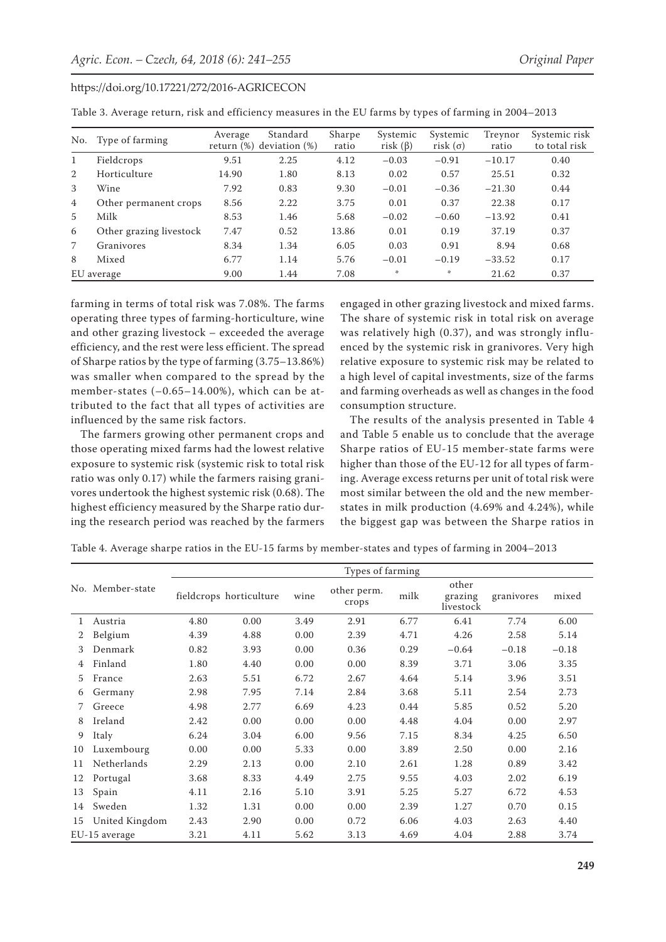|   | No. Type of farming     | Average | Standard<br>return $(\%)$ deviation $(\%)$ | Sharpe<br>ratio | Systemic<br>risk $(\beta)$ | Systemic<br>risk $(\sigma)$ | Treynor<br>ratio | Systemic risk<br>to total risk |
|---|-------------------------|---------|--------------------------------------------|-----------------|----------------------------|-----------------------------|------------------|--------------------------------|
| 1 | Fieldcrops              | 9.51    | 2.25                                       | 4.12            | $-0.03$                    | $-0.91$                     | $-10.17$         | 0.40                           |
| 2 | Horticulture            | 14.90   | 1.80                                       | 8.13            | 0.02                       | 0.57                        | 25.51            | 0.32                           |
| 3 | Wine                    | 7.92    | 0.83                                       | 9.30            | $-0.01$                    | $-0.36$                     | $-21.30$         | 0.44                           |
| 4 | Other permanent crops   | 8.56    | 2.22                                       | 3.75            | 0.01                       | 0.37                        | 22.38            | 0.17                           |
| 5 | Milk                    | 8.53    | 1.46                                       | 5.68            | $-0.02$                    | $-0.60$                     | $-13.92$         | 0.41                           |
| 6 | Other grazing livestock | 7.47    | 0.52                                       | 13.86           | 0.01                       | 0.19                        | 37.19            | 0.37                           |
| 7 | Granivores              | 8.34    | 1.34                                       | 6.05            | 0.03                       | 0.91                        | 8.94             | 0.68                           |
| 8 | Mixed                   | 6.77    | 1.14                                       | 5.76            | $-0.01$                    | $-0.19$                     | $-33.52$         | 0.17                           |
|   | EU average              | 9.00    | 1.44                                       | 7.08            | 崇                          | 崇                           | 21.62            | 0.37                           |

Table 3. Average return, risk and efficiency measures in the EU farms by types of farming in 2004–2013

farming in terms of total risk was 7.08%. The farms operating three types of farming-horticulture, wine and other grazing livestock – exceeded the average efficiency, and the rest were less efficient. The spread of Sharpe ratios by the type of farming (3.75–13.86%) was smaller when compared to the spread by the member-states (–0.65–14.00%), which can be attributed to the fact that all types of activities are influenced by the same risk factors.

The farmers growing other permanent crops and those operating mixed farms had the lowest relative exposure to systemic risk (systemic risk to total risk ratio was only 0.17) while the farmers raising granivores undertook the highest systemic risk (0.68). The highest efficiency measured by the Sharpe ratio during the research period was reached by the farmers

engaged in other grazing livestock and mixed farms. The share of systemic risk in total risk on average was relatively high (0.37), and was strongly influenced by the systemic risk in granivores. Very high relative exposure to systemic risk may be related to a high level of capital investments, size of the farms and farming overheads as well as changes in the food consumption structure.

The results of the analysis presented in Table 4 and Table 5 enable us to conclude that the average Sharpe ratios of EU-15 member-state farms were higher than those of the EU-12 for all types of farming. Average excess returns per unit of total risk were most similar between the old and the new memberstates in milk production (4.69% and 4.24%), while the biggest gap was between the Sharpe ratios in

|                                                 |                  | Types of farming |                         |      |                      |      |                               |            |         |  |  |  |  |
|-------------------------------------------------|------------------|------------------|-------------------------|------|----------------------|------|-------------------------------|------------|---------|--|--|--|--|
| 1<br>2<br>3<br>4<br>5<br>6<br>7<br>8<br>9<br>10 | No. Member-state |                  | fieldcrops horticulture | wine | other perm.<br>crops | milk | other<br>grazing<br>livestock | granivores | mixed   |  |  |  |  |
|                                                 | Austria          | 4.80             | 0.00                    | 3.49 | 2.91                 | 6.77 | 6.41                          | 7.74       | 6.00    |  |  |  |  |
|                                                 | Belgium          | 4.39             | 4.88                    | 0.00 | 2.39                 | 4.71 | 4.26                          | 2.58       | 5.14    |  |  |  |  |
|                                                 | Denmark          | 0.82             | 3.93                    | 0.00 | 0.36                 | 0.29 | $-0.64$                       | $-0.18$    | $-0.18$ |  |  |  |  |
|                                                 | Finland          | 1.80             | 4.40                    | 0.00 | 0.00                 | 8.39 | 3.71                          | 3.06       | 3.35    |  |  |  |  |
|                                                 | France           | 2.63             | 5.51                    | 6.72 | 2.67                 | 4.64 | 5.14                          | 3.96       | 3.51    |  |  |  |  |
|                                                 | Germany          | 2.98             | 7.95                    | 7.14 | 2.84                 | 3.68 | 5.11                          | 2.54       | 2.73    |  |  |  |  |
|                                                 | Greece           | 4.98             | 2.77                    | 6.69 | 4.23                 | 0.44 | 5.85                          | 0.52       | 5.20    |  |  |  |  |
|                                                 | Ireland          | 2.42             | 0.00                    | 0.00 | 0.00                 | 4.48 | 4.04                          | 0.00       | 2.97    |  |  |  |  |
|                                                 | Italy            | 6.24             | 3.04                    | 6.00 | 9.56                 | 7.15 | 8.34                          | 4.25       | 6.50    |  |  |  |  |
|                                                 | Luxembourg       | 0.00             | 0.00                    | 5.33 | 0.00                 | 3.89 | 2.50                          | 0.00       | 2.16    |  |  |  |  |
| 11                                              | Netherlands      | 2.29             | 2.13                    | 0.00 | 2.10                 | 2.61 | 1.28                          | 0.89       | 3.42    |  |  |  |  |
| 12                                              | Portugal         | 3.68             | 8.33                    | 4.49 | 2.75                 | 9.55 | 4.03                          | 2.02       | 6.19    |  |  |  |  |
| 13                                              | Spain            | 4.11             | 2.16                    | 5.10 | 3.91                 | 5.25 | 5.27                          | 6.72       | 4.53    |  |  |  |  |
| 14                                              | Sweden           | 1.32             | 1.31                    | 0.00 | 0.00                 | 2.39 | 1.27                          | 0.70       | 0.15    |  |  |  |  |
| 15                                              | United Kingdom   | 2.43             | 2.90                    | 0.00 | 0.72                 | 6.06 | 4.03                          | 2.63       | 4.40    |  |  |  |  |
|                                                 | EU-15 average    | 3.21             | 4.11                    | 5.62 | 3.13                 | 4.69 | 4.04                          | 2.88       | 3.74    |  |  |  |  |

Table 4. Average sharpe ratios in the EU-15 farms by member-states and types of farming in 2004–2013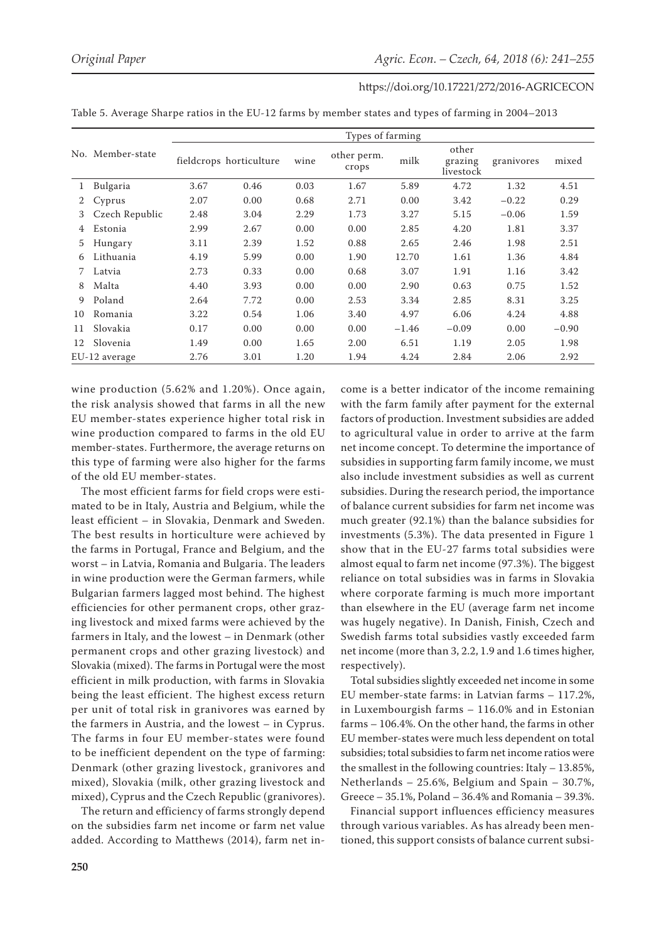|    |                  | Types of farming |                         |      |                      |         |                               |            |         |  |  |  |
|----|------------------|------------------|-------------------------|------|----------------------|---------|-------------------------------|------------|---------|--|--|--|
|    | No. Member-state |                  | fieldcrops horticulture | wine | other perm.<br>crops | milk    | other<br>grazing<br>livestock | granivores | mixed   |  |  |  |
|    | Bulgaria         | 3.67             | 0.46                    | 0.03 | 1.67                 | 5.89    | 4.72                          | 1.32       | 4.51    |  |  |  |
| 2  | Cyprus           | 2.07             | 0.00                    | 0.68 | 2.71                 | 0.00    | 3.42                          | $-0.22$    | 0.29    |  |  |  |
| 3  | Czech Republic   | 2.48             | 3.04                    | 2.29 | 1.73                 | 3.27    | 5.15                          | $-0.06$    | 1.59    |  |  |  |
| 4  | Estonia          | 2.99             | 2.67                    | 0.00 | 0.00                 | 2.85    | 4.20                          | 1.81       | 3.37    |  |  |  |
| 5  | Hungary          | 3.11             | 2.39                    | 1.52 | 0.88                 | 2.65    | 2.46                          | 1.98       | 2.51    |  |  |  |
| 6  | Lithuania        | 4.19             | 5.99                    | 0.00 | 1.90                 | 12.70   | 1.61                          | 1.36       | 4.84    |  |  |  |
| 7  | Latvia           | 2.73             | 0.33                    | 0.00 | 0.68                 | 3.07    | 1.91                          | 1.16       | 3.42    |  |  |  |
| 8  | Malta            | 4.40             | 3.93                    | 0.00 | 0.00                 | 2.90    | 0.63                          | 0.75       | 1.52    |  |  |  |
| 9  | Poland           | 2.64             | 7.72                    | 0.00 | 2.53                 | 3.34    | 2.85                          | 8.31       | 3.25    |  |  |  |
| 10 | Romania          | 3.22             | 0.54                    | 1.06 | 3.40                 | 4.97    | 6.06                          | 4.24       | 4.88    |  |  |  |
| 11 | Slovakia         | 0.17             | 0.00                    | 0.00 | 0.00                 | $-1.46$ | $-0.09$                       | 0.00       | $-0.90$ |  |  |  |
| 12 | Slovenia         | 1.49             | 0.00                    | 1.65 | 2.00                 | 6.51    | 1.19                          | 2.05       | 1.98    |  |  |  |
|    | EU-12 average    | 2.76             | 3.01                    | 1.20 | 1.94                 | 4.24    | 2.84                          | 2.06       | 2.92    |  |  |  |

Table 5. Average Sharpe ratios in the EU-12 farms by member states and types of farming in 2004–2013

wine production (5.62% and 1.20%). Once again, the risk analysis showed that farms in all the new EU member-states experience higher total risk in wine production compared to farms in the old EU member-states. Furthermore, the average returns on this type of farming were also higher for the farms of the old EU member-states.

The most efficient farms for field crops were estimated to be in Italy, Austria and Belgium, while the least efficient – in Slovakia, Denmark and Sweden. The best results in horticulture were achieved by the farms in Portugal, France and Belgium, and the worst – in Latvia, Romania and Bulgaria. The leaders in wine production were the German farmers, while Bulgarian farmers lagged most behind. The highest efficiencies for other permanent crops, other grazing livestock and mixed farms were achieved by the farmers in Italy, and the lowest – in Denmark (other permanent crops and other grazing livestock) and Slovakia (mixed). The farms in Portugal were the most efficient in milk production, with farms in Slovakia being the least efficient. The highest excess return per unit of total risk in granivores was earned by the farmers in Austria, and the lowest – in Cyprus. The farms in four EU member-states were found to be inefficient dependent on the type of farming: Denmark (other grazing livestock, granivores and mixed), Slovakia (milk, other grazing livestock and mixed), Cyprus and the Czech Republic (granivores).

The return and efficiency of farms strongly depend on the subsidies farm net income or farm net value added. According to Matthews (2014), farm net income is a better indicator of the income remaining with the farm family after payment for the external factors of production. Investment subsidies are added to agricultural value in order to arrive at the farm net income concept. To determine the importance of subsidies in supporting farm family income, we must also include investment subsidies as well as current subsidies. During the research period, the importance of balance current subsidies for farm net income was much greater (92.1%) than the balance subsidies for investments (5.3%). The data presented in Figure 1 show that in the EU-27 farms total subsidies were almost equal to farm net income (97.3%). The biggest reliance on total subsidies was in farms in Slovakia where corporate farming is much more important than elsewhere in the EU (average farm net income was hugely negative). In Danish, Finish, Czech and Swedish farms total subsidies vastly exceeded farm net income (more than 3, 2.2, 1.9 and 1.6 times higher, respectively).

Total subsidies slightly exceeded net income in some EU member-state farms: in Latvian farms – 117.2%, in Luxembourgish farms – 116.0% and in Estonian farms – 106.4%. On the other hand, the farms in other EU member-states were much less dependent on total subsidies; total subsidies to farm net income ratios were the smallest in the following countries: Italy – 13.85%, Netherlands – 25.6%, Belgium and Spain – 30.7%, Greece – 35.1%, Poland – 36.4% and Romania – 39.3%.

Financial support influences efficiency measures through various variables. As has already been mentioned, this support consists of balance current subsi-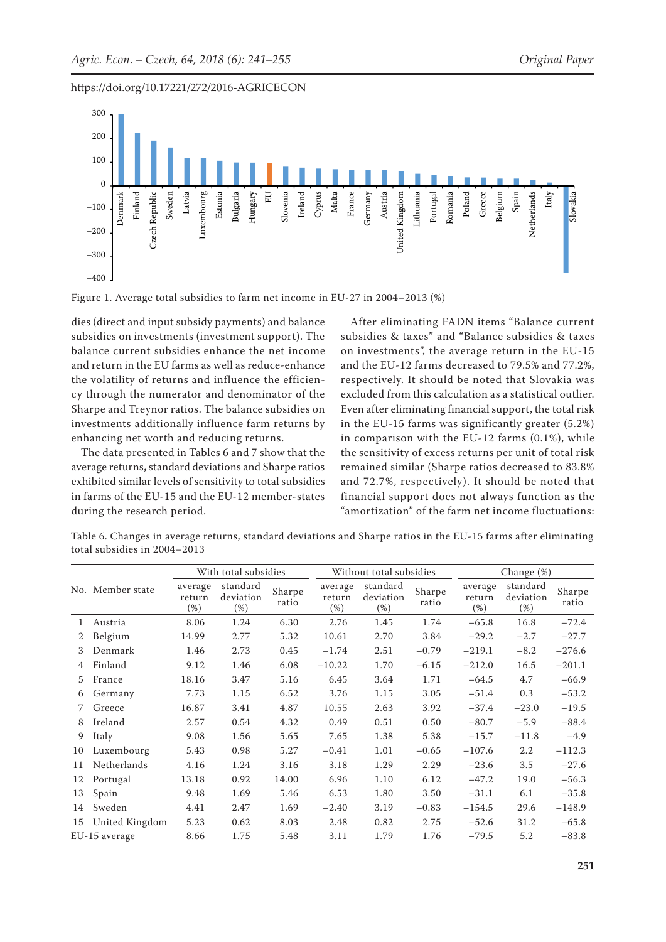https://doi.org/10.17221/272/2016-AGRICECON



Figure 1. Average total subsidies to farm net income in EU-27 in 2004–2013 (%)

dies (direct and input subsidy payments) and balance subsidies on investments (investment support). The balance current subsidies enhance the net income and return in the EU farms as well as reduce-enhance the volatility of returns and influence the efficiency through the numerator and denominator of the Sharpe and Treynor ratios. The balance subsidies on investments additionally influence farm returns by enhancing net worth and reducing returns.

The data presented in Tables 6 and 7 show that the average returns, standard deviations and Sharpe ratios exhibited similar levels of sensitivity to total subsidies in farms of the EU-15 and the EU-12 member-states during the research period.

After eliminating FADN items "Balance current subsidies & taxes" and "Balance subsidies & taxes on investments", the average return in the EU-15 and the EU-12 farms decreased to 79.5% and 77.2%, respectively. It should be noted that Slovakia was excluded from this calculation as a statistical outlier. Even after eliminating financial support, the total risk in the EU-15 farms was significantly greater (5.2%) in comparison with the EU-12 farms (0.1%), while the sensitivity of excess returns per unit of total risk remained similar (Sharpe ratios decreased to 83.8% and 72.7%, respectively). It should be noted that financial support does not always function as the "amortization" of the farm net income fluctuations:

Table 6. Changes in average returns, standard deviations and Sharpe ratios in the EU-15 farms after eliminating total subsidies in 2004–2013

|    |                  | With total subsidies        |                                 |                 |                             | Without total subsidies         |                 |                          | Change (%)                      |                 |  |
|----|------------------|-----------------------------|---------------------------------|-----------------|-----------------------------|---------------------------------|-----------------|--------------------------|---------------------------------|-----------------|--|
|    | No. Member state | average<br>return<br>$(\%)$ | standard<br>deviation<br>$(\%)$ | Sharpe<br>ratio | average<br>return<br>$(\%)$ | standard<br>deviation<br>$(\%)$ | Sharpe<br>ratio | average<br>return<br>(%) | standard<br>deviation<br>$(\%)$ | Sharpe<br>ratio |  |
| 1  | Austria          | 8.06                        | 1.24                            | 6.30            | 2.76                        | 1.45                            | 1.74            | $-65.8$                  | 16.8                            | $-72.4$         |  |
| 2  | Belgium          | 14.99                       | 2.77                            | 5.32            | 10.61                       | 2.70                            | 3.84            | $-29.2$                  | $-2.7$                          | $-27.7$         |  |
| 3  | Denmark          | 1.46                        | 2.73                            | 0.45            | $-1.74$                     | 2.51                            | $-0.79$         | $-219.1$                 | $-8.2$                          | $-276.6$        |  |
| 4  | Finland          | 9.12                        | 1.46                            | 6.08            | $-10.22$                    | 1.70                            | $-6.15$         | $-212.0$                 | 16.5                            | $-201.1$        |  |
| 5  | France           | 18.16                       | 3.47                            | 5.16            | 6.45                        | 3.64                            | 1.71            | $-64.5$                  | 4.7                             | $-66.9$         |  |
| 6  | Germany          | 7.73                        | 1.15                            | 6.52            | 3.76                        | 1.15                            | 3.05            | $-51.4$                  | 0.3                             | $-53.2$         |  |
| 7  | Greece           | 16.87                       | 3.41                            | 4.87            | 10.55                       | 2.63                            | 3.92            | $-37.4$                  | $-23.0$                         | $-19.5$         |  |
| 8  | Ireland          | 2.57                        | 0.54                            | 4.32            | 0.49                        | 0.51                            | 0.50            | $-80.7$                  | $-5.9$                          | $-88.4$         |  |
| 9  | Italy            | 9.08                        | 1.56                            | 5.65            | 7.65                        | 1.38                            | 5.38            | $-15.7$                  | $-11.8$                         | $-4.9$          |  |
| 10 | Luxembourg       | 5.43                        | 0.98                            | 5.27            | $-0.41$                     | 1.01                            | $-0.65$         | $-107.6$                 | 2.2                             | $-112.3$        |  |
| 11 | Netherlands      | 4.16                        | 1.24                            | 3.16            | 3.18                        | 1.29                            | 2.29            | $-23.6$                  | 3.5                             | $-27.6$         |  |
| 12 | Portugal         | 13.18                       | 0.92                            | 14.00           | 6.96                        | 1.10                            | 6.12            | $-47.2$                  | 19.0                            | $-56.3$         |  |
| 13 | Spain            | 9.48                        | 1.69                            | 5.46            | 6.53                        | 1.80                            | 3.50            | $-31.1$                  | 6.1                             | $-35.8$         |  |
| 14 | Sweden           | 4.41                        | 2.47                            | 1.69            | $-2.40$                     | 3.19                            | $-0.83$         | $-154.5$                 | 29.6                            | $-148.9$        |  |
| 15 | United Kingdom   | 5.23                        | 0.62                            | 8.03            | 2.48                        | 0.82                            | 2.75            | $-52.6$                  | 31.2                            | $-65.8$         |  |
|    | EU-15 average    | 8.66                        | 1.75                            | 5.48            | 3.11                        | 1.79                            | 1.76            | $-79.5$                  | 5.2                             | $-83.8$         |  |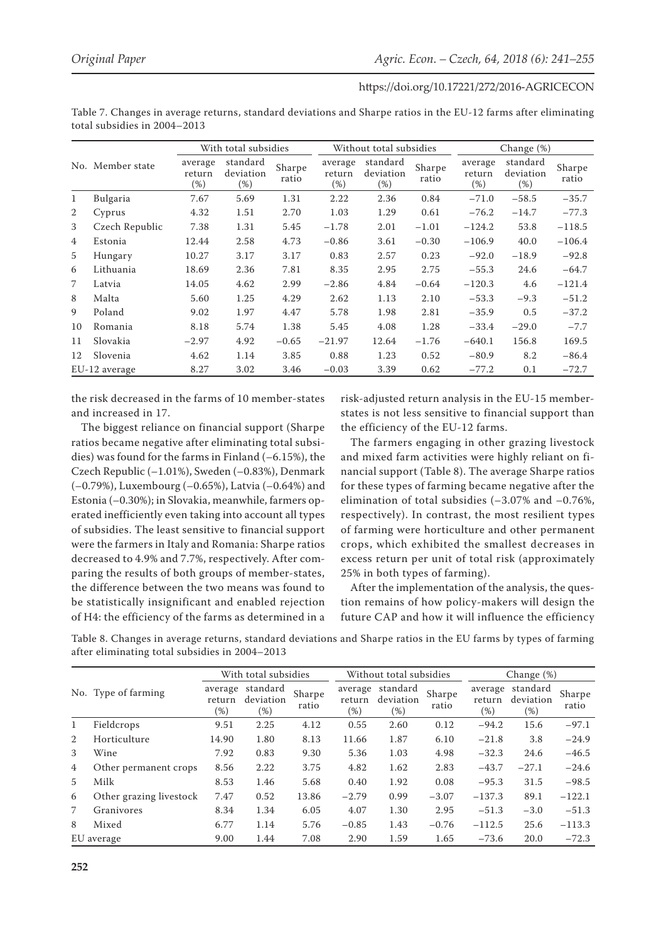Table 7. Changes in average returns, standard deviations and Sharpe ratios in the EU-12 farms after eliminating total subsidies in 2004–2013

|    |                  |                             | With total subsidies          |                 |                             | Without total subsidies         |                 | Change $(\%)$            |                              |                 |
|----|------------------|-----------------------------|-------------------------------|-----------------|-----------------------------|---------------------------------|-----------------|--------------------------|------------------------------|-----------------|
|    | No. Member state | average<br>return<br>$(\%)$ | standard<br>deviation<br>(% ) | Sharpe<br>ratio | average<br>return<br>$(\%)$ | standard<br>deviation<br>$(\%)$ | Sharpe<br>ratio | average<br>return<br>(%) | standard<br>deviation<br>(%) | Sharpe<br>ratio |
| 1  | Bulgaria         | 7.67                        | 5.69                          | 1.31            | 2.22                        | 2.36                            | 0.84            | $-71.0$                  | $-58.5$                      | $-35.7$         |
| 2  | Cyprus           | 4.32                        | 1.51                          | 2.70            | 1.03                        | 1.29                            | 0.61            | $-76.2$                  | $-14.7$                      | $-77.3$         |
| 3  | Czech Republic   | 7.38                        | 1.31                          | 5.45            | $-1.78$                     | 2.01                            | $-1.01$         | $-124.2$                 | 53.8                         | $-118.5$        |
| 4  | Estonia          | 12.44                       | 2.58                          | 4.73            | $-0.86$                     | 3.61                            | $-0.30$         | $-106.9$                 | 40.0                         | $-106.4$        |
| 5  | Hungary          | 10.27                       | 3.17                          | 3.17            | 0.83                        | 2.57                            | 0.23            | $-92.0$                  | $-18.9$                      | $-92.8$         |
| 6  | Lithuania        | 18.69                       | 2.36                          | 7.81            | 8.35                        | 2.95                            | 2.75            | $-55.3$                  | 24.6                         | $-64.7$         |
| 7  | Latvia           | 14.05                       | 4.62                          | 2.99            | $-2.86$                     | 4.84                            | $-0.64$         | $-120.3$                 | 4.6                          | $-121.4$        |
| 8  | Malta            | 5.60                        | 1.25                          | 4.29            | 2.62                        | 1.13                            | 2.10            | $-53.3$                  | $-9.3$                       | $-51.2$         |
| 9  | Poland           | 9.02                        | 1.97                          | 4.47            | 5.78                        | 1.98                            | 2.81            | $-35.9$                  | 0.5                          | $-37.2$         |
| 10 | Romania          | 8.18                        | 5.74                          | 1.38            | 5.45                        | 4.08                            | 1.28            | $-33.4$                  | $-29.0$                      | $-7.7$          |
| 11 | Slovakia         | $-2.97$                     | 4.92                          | $-0.65$         | $-21.97$                    | 12.64                           | $-1.76$         | $-640.1$                 | 156.8                        | 169.5           |
| 12 | Slovenia         | 4.62                        | 1.14                          | 3.85            | 0.88                        | 1.23                            | 0.52            | $-80.9$                  | 8.2                          | $-86.4$         |
|    | EU-12 average    | 8.27                        | 3.02                          | 3.46            | $-0.03$                     | 3.39                            | 0.62            | $-77.2$                  | 0.1                          | $-72.7$         |

the risk decreased in the farms of 10 member-states and increased in 17.

The biggest reliance on financial support (Sharpe ratios became negative after eliminating total subsidies) was found for the farms in Finland (–6.15%), the Czech Republic (–1.01%), Sweden (–0.83%), Denmark (–0.79%), Luxembourg (–0.65%), Latvia (–0.64%) and Estonia (–0.30%); in Slovakia, meanwhile, farmers operated inefficiently even taking into account all types of subsidies. The least sensitive to financial support were the farmers in Italy and Romania: Sharpe ratios decreased to 4.9% and 7.7%, respectively. After comparing the results of both groups of member-states, the difference between the two means was found to be statistically insignificant and enabled rejection of H4: the efficiency of the farms as determined in a risk-adjusted return analysis in the EU-15 memberstates is not less sensitive to financial support than the efficiency of the EU-12 farms.

The farmers engaging in other grazing livestock and mixed farm activities were highly reliant on financial support (Table 8). The average Sharpe ratios for these types of farming became negative after the elimination of total subsidies (–3.07% and –0.76%, respectively). In contrast, the most resilient types of farming were horticulture and other permanent crops, which exhibited the smallest decreases in excess return per unit of total risk (approximately 25% in both types of farming).

After the implementation of the analysis, the question remains of how policy-makers will design the future CAP and how it will influence the efficiency

Table 8. Changes in average returns, standard deviations and Sharpe ratios in the EU farms by types of farming after eliminating total subsidies in 2004–2013

|                |                         |                          | With total subsidies            |                 |                           | Without total subsidies      |                 |                          | Change $(\%)$                |                 |
|----------------|-------------------------|--------------------------|---------------------------------|-----------------|---------------------------|------------------------------|-----------------|--------------------------|------------------------------|-----------------|
|                | No. Type of farming     | average<br>return<br>(%) | standard<br>deviation<br>$(\%)$ | Sharpe<br>ratio | average<br>return<br>(% ) | standard<br>deviation<br>(%) | Sharpe<br>ratio | average<br>return<br>(%) | standard<br>deviation<br>(%) | Sharpe<br>ratio |
| $\mathbf{1}$   | Fieldcrops              | 9.51                     | 2.25                            | 4.12            | 0.55                      | 2.60                         | 0.12            | $-94.2$                  | 15.6                         | $-97.1$         |
| 2              | Horticulture            | 14.90                    | 1.80                            | 8.13            | 11.66                     | 1.87                         | 6.10            | $-21.8$                  | 3.8                          | $-24.9$         |
| 3              | Wine                    | 7.92                     | 0.83                            | 9.30            | 5.36                      | 1.03                         | 4.98            | $-32.3$                  | 24.6                         | $-46.5$         |
| $4\phantom{1}$ | Other permanent crops   | 8.56                     | 2.22                            | 3.75            | 4.82                      | 1.62                         | 2.83            | $-43.7$                  | $-27.1$                      | $-24.6$         |
| 5              | Milk                    | 8.53                     | 1.46                            | 5.68            | 0.40                      | 1.92                         | 0.08            | $-95.3$                  | 31.5                         | $-98.5$         |
| 6              | Other grazing livestock | 7.47                     | 0.52                            | 13.86           | $-2.79$                   | 0.99                         | $-3.07$         | $-137.3$                 | 89.1                         | $-122.1$        |
| 7              | Granivores              | 8.34                     | 1.34                            | 6.05            | 4.07                      | 1.30                         | 2.95            | $-51.3$                  | $-3.0$                       | $-51.3$         |
| 8              | Mixed                   | 6.77                     | 1.14                            | 5.76            | $-0.85$                   | 1.43                         | $-0.76$         | $-112.5$                 | 25.6                         | $-113.3$        |
|                | EU average              | 9.00                     | 1.44                            | 7.08            | 2.90                      | 1.59                         | 1.65            | $-73.6$                  | 20.0                         | $-72.3$         |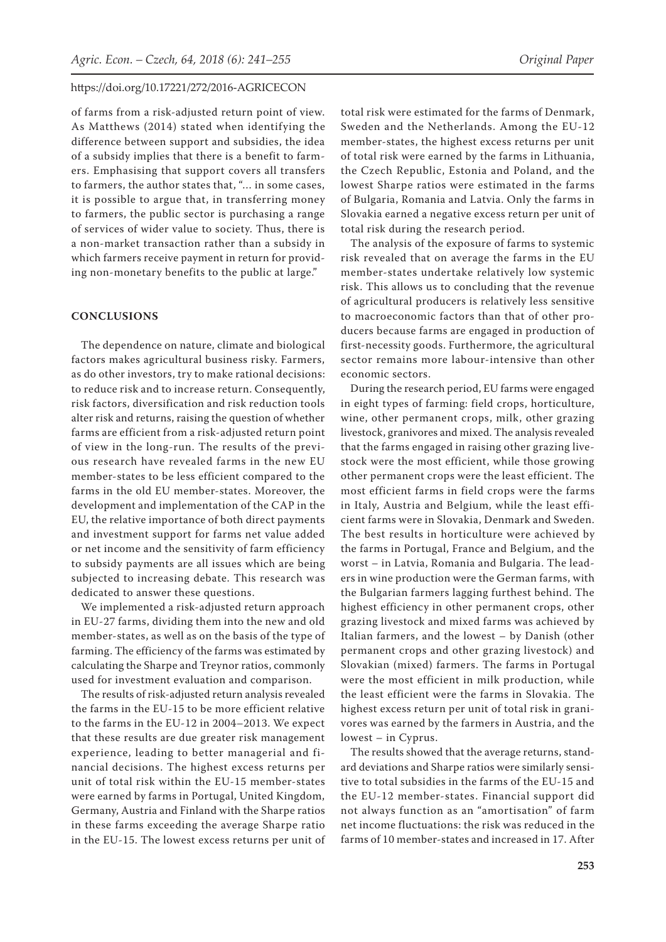of farms from a risk-adjusted return point of view. As Matthews (2014) stated when identifying the difference between support and subsidies, the idea of a subsidy implies that there is a benefit to farmers. Emphasising that support covers all transfers to farmers, the author states that, "… in some cases, it is possible to argue that, in transferring money to farmers, the public sector is purchasing a range of services of wider value to society. Thus, there is a non-market transaction rather than a subsidy in which farmers receive payment in return for providing non-monetary benefits to the public at large."

#### **CONCLUSIONS**

The dependence on nature, climate and biological factors makes agricultural business risky. Farmers, as do other investors, try to make rational decisions: to reduce risk and to increase return. Consequently, risk factors, diversification and risk reduction tools alter risk and returns, raising the question of whether farms are efficient from a risk-adjusted return point of view in the long-run. The results of the previous research have revealed farms in the new EU member-states to be less efficient compared to the farms in the old EU member-states. Moreover, the development and implementation of the CAP in the EU, the relative importance of both direct payments and investment support for farms net value added or net income and the sensitivity of farm efficiency to subsidy payments are all issues which are being subjected to increasing debate. This research was dedicated to answer these questions.

We implemented a risk-adjusted return approach in EU-27 farms, dividing them into the new and old member-states, as well as on the basis of the type of farming. The efficiency of the farms was estimated by calculating the Sharpe and Treynor ratios, commonly used for investment evaluation and comparison.

The results of risk-adjusted return analysis revealed the farms in the EU-15 to be more efficient relative to the farms in the EU-12 in 2004–2013. We expect that these results are due greater risk management experience, leading to better managerial and financial decisions. The highest excess returns per unit of total risk within the EU-15 member-states were earned by farms in Portugal, United Kingdom, Germany, Austria and Finland with the Sharpe ratios in these farms exceeding the average Sharpe ratio in the EU-15. The lowest excess returns per unit of

total risk were estimated for the farms of Denmark, Sweden and the Netherlands. Among the EU-12 member-states, the highest excess returns per unit of total risk were earned by the farms in Lithuania, the Czech Republic, Estonia and Poland, and the lowest Sharpe ratios were estimated in the farms of Bulgaria, Romania and Latvia. Only the farms in Slovakia earned a negative excess return per unit of total risk during the research period.

The analysis of the exposure of farms to systemic risk revealed that on average the farms in the EU member-states undertake relatively low systemic risk. This allows us to concluding that the revenue of agricultural producers is relatively less sensitive to macroeconomic factors than that of other producers because farms are engaged in production of first-necessity goods. Furthermore, the agricultural sector remains more labour-intensive than other economic sectors.

During the research period, EU farms were engaged in eight types of farming: field crops, horticulture, wine, other permanent crops, milk, other grazing livestock, granivores and mixed. The analysis revealed that the farms engaged in raising other grazing livestock were the most efficient, while those growing other permanent crops were the least efficient. The most efficient farms in field crops were the farms in Italy, Austria and Belgium, while the least efficient farms were in Slovakia, Denmark and Sweden. The best results in horticulture were achieved by the farms in Portugal, France and Belgium, and the worst – in Latvia, Romania and Bulgaria. The leaders in wine production were the German farms, with the Bulgarian farmers lagging furthest behind. The highest efficiency in other permanent crops, other grazing livestock and mixed farms was achieved by Italian farmers, and the lowest – by Danish (other permanent crops and other grazing livestock) and Slovakian (mixed) farmers. The farms in Portugal were the most efficient in milk production, while the least efficient were the farms in Slovakia. The highest excess return per unit of total risk in granivores was earned by the farmers in Austria, and the lowest – in Cyprus.

The results showed that the average returns, standard deviations and Sharpe ratios were similarly sensitive to total subsidies in the farms of the EU-15 and the EU-12 member-states. Financial support did not always function as an "amortisation" of farm net income fluctuations: the risk was reduced in the farms of 10 member-states and increased in 17. After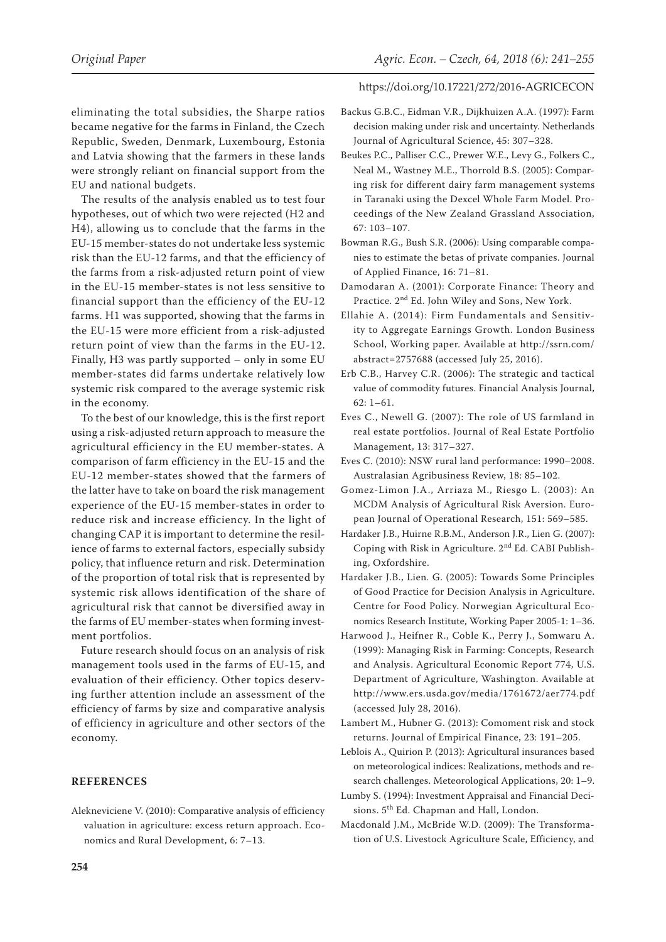eliminating the total subsidies, the Sharpe ratios became negative for the farms in Finland, the Czech Republic, Sweden, Denmark, Luxembourg, Estonia and Latvia showing that the farmers in these lands were strongly reliant on financial support from the EU and national budgets.

The results of the analysis enabled us to test four hypotheses, out of which two were rejected (H2 and H4), allowing us to conclude that the farms in the EU-15 member-states do not undertake less systemic risk than the EU-12 farms, and that the efficiency of the farms from a risk-adjusted return point of view in the EU-15 member-states is not less sensitive to financial support than the efficiency of the EU-12 farms. H1 was supported, showing that the farms in the EU-15 were more efficient from a risk-adjusted return point of view than the farms in the EU-12. Finally, H3 was partly supported – only in some EU member-states did farms undertake relatively low systemic risk compared to the average systemic risk in the economy.

To the best of our knowledge, this is the first report using a risk-adjusted return approach to measure the agricultural efficiency in the EU member-states. A comparison of farm efficiency in the EU-15 and the EU-12 member-states showed that the farmers of the latter have to take on board the risk management experience of the EU-15 member-states in order to reduce risk and increase efficiency. In the light of changing CAP it is important to determine the resilience of farms to external factors, especially subsidy policy, that influence return and risk. Determination of the proportion of total risk that is represented by systemic risk allows identification of the share of agricultural risk that cannot be diversified away in the farms of EU member-states when forming investment portfolios.

Future research should focus on an analysis of risk management tools used in the farms of EU-15, and evaluation of their efficiency. Other topics deserving further attention include an assessment of the efficiency of farms by size and comparative analysis of efficiency in agriculture and other sectors of the economy.

#### **REFERENCES**

Alekneviciene V. (2010): Comparative analysis of efficiency valuation in agriculture: excess return approach. Economics and Rural Development, 6: 7–13.

#### https://doi.org/10.17221/272/2016-AGRICECON

- Backus G.B.C., Eidman V.R., Dijkhuizen A.A. (1997): Farm decision making under risk and uncertainty. Netherlands Journal of Agricultural Science, 45: 307–328.
- Beukes P.C., Palliser C.C., Prewer W.E., Levy G., Folkers C., Neal M., Wastney M.E., Thorrold B.S. (2005): Comparing risk for different dairy farm management systems in Taranaki using the Dexcel Whole Farm Model. Proceedings of the New Zealand Grassland Association, 67: 103–107.
- Bowman R.G., Bush S.R. (2006): Using comparable companies to estimate the betas of private companies. Journal of Applied Finance, 16: 71–81.
- Damodaran A. (2001): Corporate Finance: Theory and Practice. 2nd Ed. John Wiley and Sons, New York.
- Ellahie A. (2014): Firm Fundamentals and Sensitivity to Aggregate Earnings Growth. London Business School, Working paper. Available at http://ssrn.com/ abstract=2757688 (accessed July 25, 2016).
- Erb C.B., Harvey C.R. (2006): The strategic and tactical value of commodity futures. Financial Analysis Journal, 62: 1–61.
- Eves C., Newell G. (2007): The role of US farmland in real estate portfolios. Journal of Real Estate Portfolio Management, 13: 317–327.
- Eves C. (2010): NSW rural land performance: 1990–2008. Australasian Agribusiness Review, 18: 85–102.
- Gomez-Limon J.A., Arriaza M., Riesgo L. (2003): An MCDM Analysis of Agricultural Risk Aversion. European Journal of Operational Research, 151: 569–585.
- Hardaker J.B., Huirne R.B.M., Anderson J.R., Lien G. (2007): Coping with Risk in Agriculture. 2nd Ed. CABI Publishing, Oxfordshire.
- Hardaker J.B., Lien. G. (2005): Towards Some Principles of Good Practice for Decision Analysis in Agriculture. Centre for Food Policy. Norwegian Agricultural Economics Research Institute, Working Paper 2005-1: 1–36.
- Harwood J., Heifner R., Coble K., Perry J., Somwaru A. (1999): Managing Risk in Farming: Concepts, Research and Analysis. Agricultural Economic Report 774, U.S. Department of Agriculture, Washington. Available at http://www.ers.usda.gov/media/1761672/aer774.pdf (accessed July 28, 2016).
- Lambert M., Hubner G. (2013): Comoment risk and stock returns. Journal of Empirical Finance, 23: 191–205.
- Leblois A., Quirion P. (2013): Agricultural insurances based on meteorological indices: Realizations, methods and research challenges. Meteorological Applications, 20: 1–9.
- Lumby S. (1994): Investment Appraisal and Financial Decisions. 5<sup>th</sup> Ed. Chapman and Hall, London.
- Macdonald J.M., McBride W.D. (2009): The Transformation of U.S. Livestock Agriculture Scale, Efficiency, and